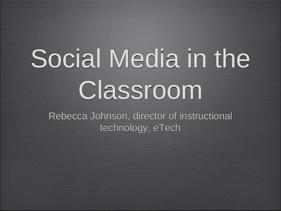# Social Media in the Classroom

Rebecca Johnson, director of instructional technology, eTech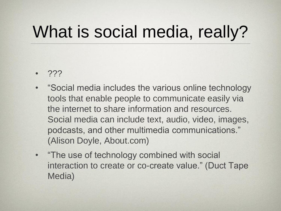#### What is social media, really?

- ???
- "Social media includes the various online technology tools that enable people to communicate easily via the internet to share information and resources. Social media can include text, audio, video, images, podcasts, and other multimedia communications." (Alison Doyle, About.com)
- "The use of technology combined with social interaction to create or co-create value." (Duct Tape Media)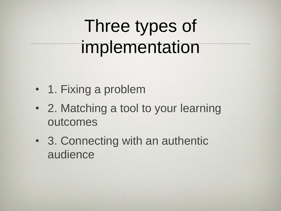#### Three types of implementation

- 1. Fixing a problem
- 2. Matching a tool to your learning outcomes
- 3. Connecting with an authentic audience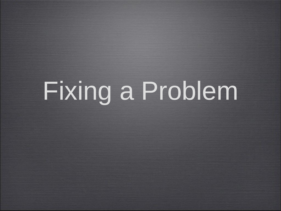## Fixing a Problem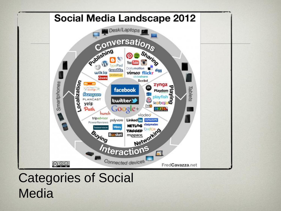

#### Categories of Social **Media**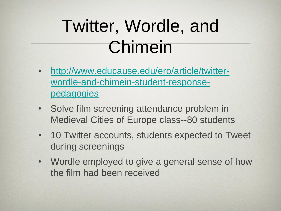#### Twitter, Wordle, and Chimein

- [http://www.educause.edu/ero/article/twitter](http://www.educause.edu/ero/article/twitter-wordle-and-chimein-student-response-pedagogies)[wordle-and-chimein-student-response](http://www.educause.edu/ero/article/twitter-wordle-and-chimein-student-response-pedagogies)[pedagogies](http://www.educause.edu/ero/article/twitter-wordle-and-chimein-student-response-pedagogies)
- Solve film screening attendance problem in Medieval Cities of Europe class--80 students
- 10 Twitter accounts, students expected to Tweet during screenings
- Wordle employed to give a general sense of how the film had been received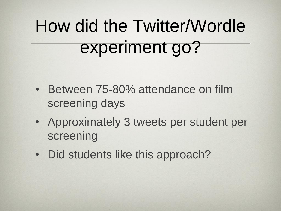### How did the Twitter/Wordle experiment go?

- Between 75-80% attendance on film screening days
- Approximately 3 tweets per student per screening
- Did students like this approach?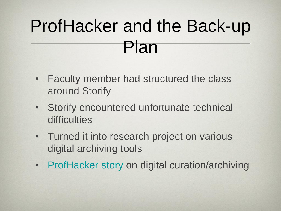#### ProfHacker and the Back-up Plan

- Faculty member had structured the class around Storify
- Storify encountered unfortunate technical **difficulties**
- Turned it into research project on various digital archiving tools
- [ProfHacker story](http://chronicle.com/blogs/profhacker/digital-curation-alternatives-to-storify/43436) on digital curation/archiving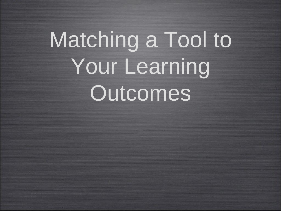## Matching a Tool to Your Learning Outcomes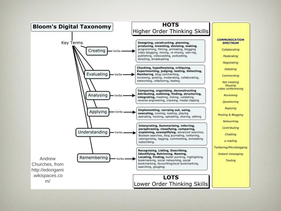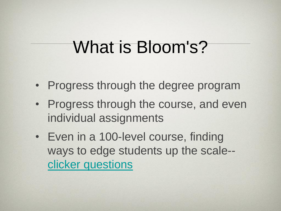#### What is Bloom's?

- Progress through the degree program
- Progress through the course, and even individual assignments
- Even in a 100-level course, finding ways to edge students up the scale- [clicker questions](http://derekbruff.org/?p=721)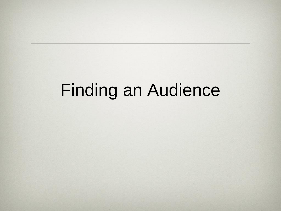#### Finding an Audience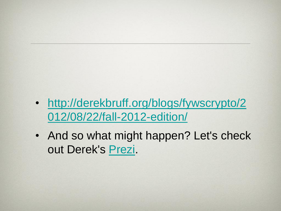- [http://derekbruff.org/blogs/fywscrypto/2](http://derekbruff.org/blogs/fywscrypto/2012/08/22/fall-2012-edition/) [012/08/22/fall-2012-edition/](http://derekbruff.org/blogs/fywscrypto/2012/08/22/fall-2012-edition/)
- And so what might happen? Let's check out Derek's [Prezi](http://prezi.com/z1fhtyeecvyr/social-pedagogies-motivating-students-through-authentic-audiences/).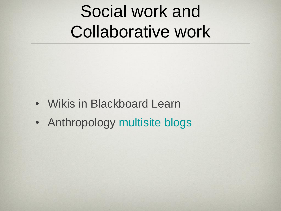#### Social work and Collaborative work

- Wikis in Blackboard Learn
- Anthropology [multisite blogs](http://anthropology.ua.edu/blogs/)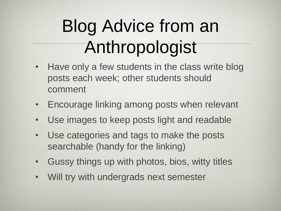### Blog Advice from an Anthropologist

- Have only a few students in the class write blog posts each week; other students should comment
- Encourage linking among posts when relevant
- Use images to keep posts light and readable
- Use categories and tags to make the posts searchable (handy for the linking)
- Gussy things up with photos, bios, witty titles
- Will try with undergrads next semester